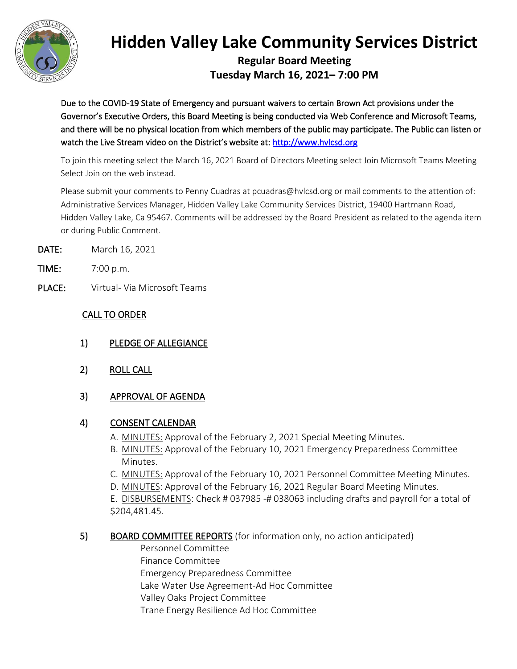

## **Hidden Valley Lake Community Services District**

**Regular Board Meeting Tuesday March 16, 2021– 7:00 PM**

Due to the COVID-19 State of Emergency and pursuant waivers to certain Brown Act provisions under the Governor's Executive Orders, this Board Meeting is being conducted via Web Conference and Microsoft Teams, and there will be no physical location from which members of the public may participate. The Public can listen or watch the Live Stream video on the District's website at: [http://www.hvlcsd.org](http://www.hvlcsd.org/) 

To join this meeting select the March 16, 2021 Board of Directors Meeting select Join Microsoft Teams Meeting Select Join on the web instead.

Please submit your comments to Penny Cuadras at pcuadras@hvlcsd.org or mail comments to the attention of: Administrative Services Manager, Hidden Valley Lake Community Services District, 19400 Hartmann Road, Hidden Valley Lake, Ca 95467. Comments will be addressed by the Board President as related to the agenda item or during Public Comment.

- DATE: March 16, 2021
- TIME: 7:00 p.m.
- PLACE: Virtual- Via Microsoft Teams

## CALL TO ORDER

- 1) PLEDGE OF ALLEGIANCE
- 2) ROLL CALL
- 3) APPROVAL OF AGENDA

## 4) CONSENT CALENDAR

- A. MINUTES: Approval of the February 2, 2021 Special Meeting Minutes.
- B. MINUTES: Approval of the February 10, 2021 Emergency Preparedness Committee Minutes.
- C. MINUTES: Approval of the February 10, 2021 Personnel Committee Meeting Minutes.
- D. MINUTES: Approval of the February 16, 2021 Regular Board Meeting Minutes.
- E. DISBURSEMENTS: Check # 037985 -# 038063 including drafts and payroll for a total of \$204,481.45.

## 5) BOARD COMMITTEE REPORTS (for information only, no action anticipated)

Personnel Committee Finance Committee Emergency Preparedness Committee Lake Water Use Agreement-Ad Hoc Committee Valley Oaks Project Committee Trane Energy Resilience Ad Hoc Committee